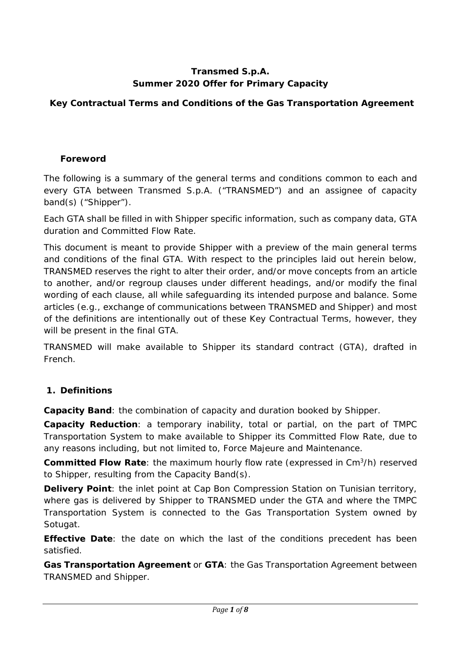#### **Transmed S.p.A. Summer 2020 Offer for Primary Capacity**

## **Key Contractual Terms and Conditions of the Gas Transportation Agreement**

#### **Foreword**

The following is a summary of the general terms and conditions common to each and every GTA between Transmed S.p.A. ("TRANSMED") and an assignee of capacity band(s) ("Shipper").

Each GTA shall be filled in with Shipper specific information, such as company data, GTA duration and Committed Flow Rate.

This document is meant to provide Shipper with a preview of the main general terms and conditions of the final GTA. With respect to the principles laid out herein below, TRANSMED reserves the right to alter their order, and/or move concepts from an article to another, and/or regroup clauses under different headings, and/or modify the final wording of each clause, all while safeguarding its intended purpose and balance. Some articles (e.g., exchange of communications between TRANSMED and Shipper) and most of the definitions are intentionally out of these Key Contractual Terms, however, they will be present in the final GTA.

TRANSMED will make available to Shipper its standard contract (GTA), drafted in French.

## **1. Definitions**

**Capacity Band**: the combination of capacity and duration booked by Shipper.

**Capacity Reduction**: a temporary inability, total or partial, on the part of TMPC Transportation System to make available to Shipper its Committed Flow Rate, due to any reasons including, but not limited to, Force Majeure and Maintenance.

**Committed Flow Rate**: the maximum hourly flow rate (expressed in Cm3/h) reserved to Shipper, resulting from the Capacity Band(s).

**Delivery Point**: the inlet point at Cap Bon Compression Station on Tunisian territory, where gas is delivered by Shipper to TRANSMED under the GTA and where the TMPC Transportation System is connected to the Gas Transportation System owned by Sotugat.

**Effective Date**: the date on which the last of the conditions precedent has been satisfied.

**Gas Transportation Agreement** or **GTA**: the Gas Transportation Agreement between TRANSMED and Shipper.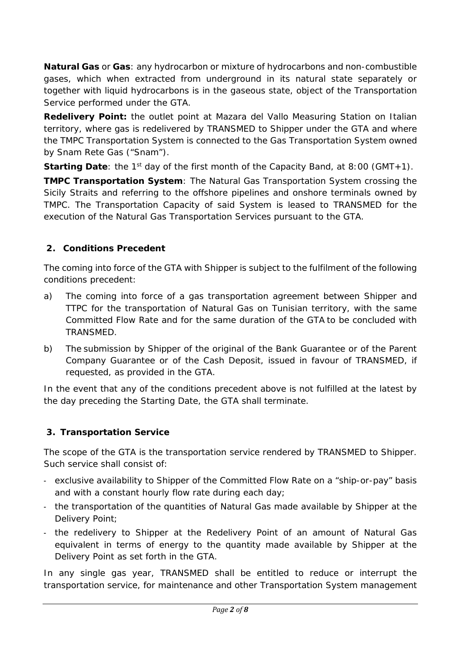**Natural Gas** or **Gas**: any hydrocarbon or mixture of hydrocarbons and non-combustible gases, which when extracted from underground in its natural state separately or together with liquid hydrocarbons is in the gaseous state, object of the Transportation Service performed under the GTA.

**Redelivery Point:** the outlet point at Mazara del Vallo Measuring Station on Italian territory, where gas is redelivered by TRANSMED to Shipper under the GTA and where the TMPC Transportation System is connected to the Gas Transportation System owned by Snam Rete Gas ("Snam").

**Starting Date**: the 1<sup>st</sup> day of the first month of the Capacity Band, at 8:00 (GMT+1).

**TMPC Transportation System**: The Natural Gas Transportation System crossing the Sicily Straits and referring to the offshore pipelines and onshore terminals owned by TMPC. The Transportation Capacity of said System is leased to TRANSMED for the execution of the Natural Gas Transportation Services pursuant to the GTA.

## **2. Conditions Precedent**

The coming into force of the GTA with Shipper is subject to the fulfilment of the following conditions precedent:

- a) The coming into force of a gas transportation agreement between Shipper and TTPC for the transportation of Natural Gas on Tunisian territory, with the same Committed Flow Rate and for the same duration of the GTA to be concluded with TRANSMED.
- b) The submission by Shipper of the original of the Bank Guarantee or of the Parent Company Guarantee or of the Cash Deposit, issued in favour of TRANSMED, if requested, as provided in the GTA.

In the event that any of the conditions precedent above is not fulfilled at the latest by the day preceding the Starting Date, the GTA shall terminate.

## **3. Transportation Service**

The scope of the GTA is the transportation service rendered by TRANSMED to Shipper. Such service shall consist of:

- exclusive availability to Shipper of the Committed Flow Rate on a "ship-or-pay" basis and with a constant hourly flow rate during each day;
- the transportation of the quantities of Natural Gas made available by Shipper at the Delivery Point;
- the redelivery to Shipper at the Redelivery Point of an amount of Natural Gas equivalent in terms of energy to the quantity made available by Shipper at the Delivery Point as set forth in the GTA.

In any single gas year, TRANSMED shall be entitled to reduce or interrupt the transportation service, for maintenance and other Transportation System management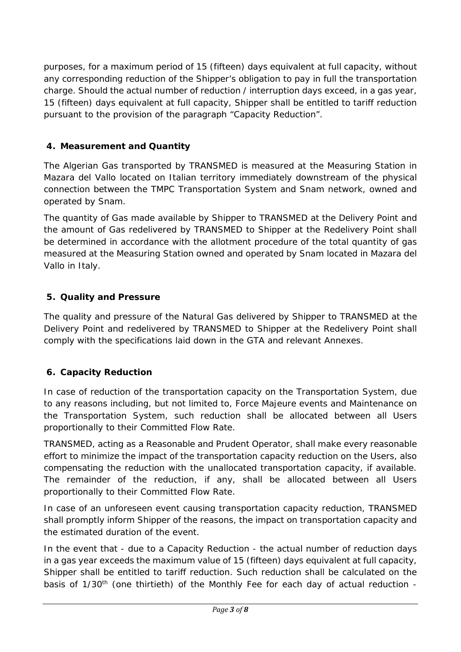purposes, for a maximum period of 15 (fifteen) days equivalent at full capacity, without any corresponding reduction of the Shipper's obligation to pay in full the transportation charge. Should the actual number of reduction / interruption days exceed, in a gas year, 15 (fifteen) days equivalent at full capacity, Shipper shall be entitled to tariff reduction pursuant to the provision of the paragraph "Capacity Reduction".

#### **4. Measurement and Quantity**

The Algerian Gas transported by TRANSMED is measured at the Measuring Station in Mazara del Vallo located on Italian territory immediately downstream of the physical connection between the TMPC Transportation System and Snam network, owned and operated by Snam.

The quantity of Gas made available by Shipper to TRANSMED at the Delivery Point and the amount of Gas redelivered by TRANSMED to Shipper at the Redelivery Point shall be determined in accordance with the allotment procedure of the total quantity of gas measured at the Measuring Station owned and operated by Snam located in Mazara del Vallo in Italy.

#### **5. Quality and Pressure**

The quality and pressure of the Natural Gas delivered by Shipper to TRANSMED at the Delivery Point and redelivered by TRANSMED to Shipper at the Redelivery Point shall comply with the specifications laid down in the GTA and relevant Annexes.

## **6. Capacity Reduction**

In case of reduction of the transportation capacity on the Transportation System, due to any reasons including, but not limited to, Force Majeure events and Maintenance on the Transportation System, such reduction shall be allocated between all Users proportionally to their Committed Flow Rate.

TRANSMED, acting as a Reasonable and Prudent Operator, shall make every reasonable effort to minimize the impact of the transportation capacity reduction on the Users, also compensating the reduction with the unallocated transportation capacity, if available. The remainder of the reduction, if any, shall be allocated between all Users proportionally to their Committed Flow Rate.

In case of an unforeseen event causing transportation capacity reduction, TRANSMED shall promptly inform Shipper of the reasons, the impact on transportation capacity and the estimated duration of the event.

In the event that - due to a Capacity Reduction - the actual number of reduction days in a gas year exceeds the maximum value of 15 (fifteen) days equivalent at full capacity, Shipper shall be entitled to tariff reduction. Such reduction shall be calculated on the basis of 1/30<sup>th</sup> (one thirtieth) of the Monthly Fee for each day of actual reduction -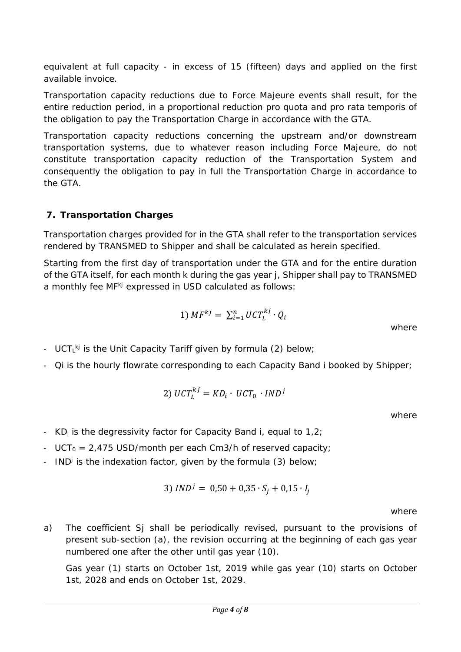equivalent at full capacity - in excess of 15 (fifteen) days and applied on the first available invoice.

Transportation capacity reductions due to Force Majeure events shall result, for the entire reduction period, in a proportional reduction *pro quota* and *pro rata temporis* of the obligation to pay the Transportation Charge in accordance with the GTA.

Transportation capacity reductions concerning the upstream and/or downstream transportation systems, due to whatever reason including Force Majeure, do not constitute transportation capacity reduction of the Transportation System and consequently the obligation to pay in full the Transportation Charge in accordance to the GTA.

#### **7. Transportation Charges**

Transportation charges provided for in the GTA shall refer to the transportation services rendered by TRANSMED to Shipper and shall be calculated as herein specified.

Starting from the first day of transportation under the GTA and for the entire duration of the GTA itself, for each month k during the gas year j, Shipper shall pay to TRANSMED a monthly fee *MFkj* expressed in USD calculated as follows:

$$
1) \; MF^{kj} = \; \sum_{i=1}^{n} UCT^{kj}_L \cdot Q_i
$$

- *UCT<sub>L</sub><sup>kj</sup>* is the Unit Capacity Tariff given by formula (2) below;
- *Qi* is the hourly flowrate corresponding to each Capacity Band i booked by Shipper;

$$
2) \ UCT_L^{kj} = KD_i \cdot UCT_0 \cdot IND^j
$$

where

where

- *KDi* is the degressivity factor for Capacity Band i, equal to 1,2;
- *UCT<sub>0</sub>* = 2,475 USD/month per each Cm3/h of reserved capacity;
- *IND*<sup>j</sup> is the indexation factor, given by the formula (3) below;

$$
3) \, IND^j = 0.50 + 0.35 \cdot S_j + 0.15 \cdot I_j
$$

where

a) The coefficient *Sj* shall be periodically revised, pursuant to the provisions of present sub-section (a), the revision occurring at the beginning of each gas year numbered one after the other until gas year (10).

Gas year (1) starts on October 1st, 2019 while gas year (10) starts on October 1st, 2028 and ends on October 1st, 2029.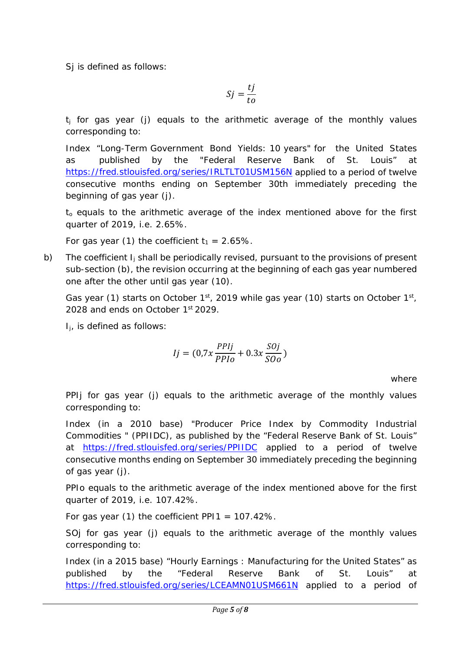*Sj* is defined as follows:

$$
Sj = \frac{tj}{to}
$$

*tj* for gas year (j) equals to the arithmetic average of the monthly values corresponding to:

Index "Long-Term Government Bond Yields: 10 years" for the United States as published by the "Federal Reserve Bank of St. Louis" at <https://fred.stlouisfed.org/series/IRLTLT01USM156N> applied to a period of twelve consecutive months ending on September 30th immediately preceding the beginning of gas year (j).

*to* equals to the arithmetic average of the index mentioned above for the first quarter of 2019, i.e. 2.65%.

For gas year (1) the coefficient  $t_1 = 2.65\%$ .

b) The coefficient *Ij* shall be periodically revised, pursuant to the provisions of present sub-section (b), the revision occurring at the beginning of each gas year numbered one after the other until gas year (10).

Gas year (1) starts on October  $1<sup>st</sup>$ , 2019 while gas year (10) starts on October  $1<sup>st</sup>$ , 2028 and ends on October 1st 2029.

*Ij*, is defined as follows:

$$
Ij = (0.7x \frac{PPIj}{PPIo} + 0.3x \frac{SOj}{SOo})
$$

where

*PPIj* for gas year (j) equals to the arithmetic average of the monthly values corresponding to:

Index (in a 2010 base) "Producer Price Index by Commodity Industrial Commodities " (PPIIDC), as published by the "Federal Reserve Bank of St. Louis" at <https://fred.stlouisfed.org/series/PPIIDC> applied to a period of twelve consecutive months ending on September 30 immediately preceding the beginning of gas year (j).

*PPIo* equals to the arithmetic average of the index mentioned above for the first quarter of 2019, i.e. 107.42%.

For gas year (1) the coefficient *PPI1* = 107.42%.

*SOj* for gas year (j) equals to the arithmetic average of the monthly values corresponding to:

Index (in a 2015 base) "Hourly Earnings : Manufacturing for the United States" as published by the "Federal Reserve Bank of St. Louis" at <https://fred.stlouisfed.org/series/LCEAMN01USM661N> applied to a period of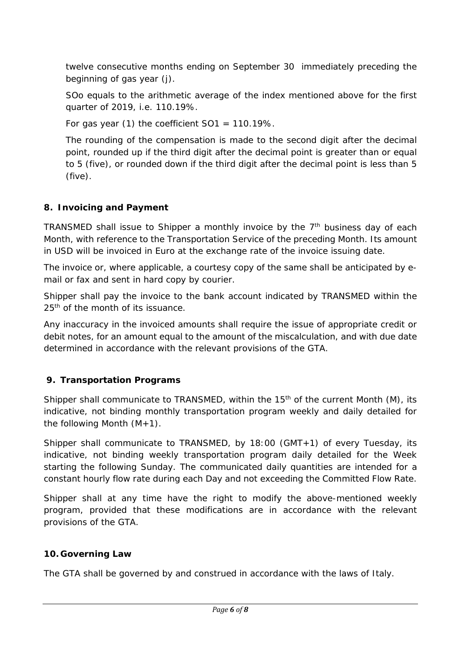twelve consecutive months ending on September 30 immediately preceding the beginning of gas year (j).

*SOo* equals to the arithmetic average of the index mentioned above for the first quarter of 2019, i.e. 110.19%.

For gas year (1) the coefficient *SO1* = 110.19%.

The rounding of the compensation is made to the second digit after the decimal point, rounded up if the third digit after the decimal point is greater than or equal to 5 (five), or rounded down if the third digit after the decimal point is less than 5 (five).

## **8. Invoicing and Payment**

TRANSMED shall issue to Shipper a monthly invoice by the  $7<sup>th</sup>$  business day of each Month, with reference to the Transportation Service of the preceding Month. Its amount in USD will be invoiced in Euro at the exchange rate of the invoice issuing date.

The invoice or, where applicable, a courtesy copy of the same shall be anticipated by email or fax and sent in hard copy by courier.

Shipper shall pay the invoice to the bank account indicated by TRANSMED within the 25<sup>th</sup> of the month of its issuance.

Any inaccuracy in the invoiced amounts shall require the issue of appropriate credit or debit notes, for an amount equal to the amount of the miscalculation, and with due date determined in accordance with the relevant provisions of the GTA.

## **9. Transportation Programs**

Shipper shall communicate to TRANSMED, within the 15<sup>th</sup> of the current Month (M), its indicative, not binding monthly transportation program weekly and daily detailed for the following Month  $(M+1)$ .

Shipper shall communicate to TRANSMED, by 18:00 (GMT+1) of every Tuesday, its indicative, not binding weekly transportation program daily detailed for the Week starting the following Sunday. The communicated daily quantities are intended for a constant hourly flow rate during each Day and not exceeding the Committed Flow Rate.

Shipper shall at any time have the right to modify the above-mentioned weekly program, provided that these modifications are in accordance with the relevant provisions of the GTA.

#### **10. Governing Law**

The GTA shall be governed by and construed in accordance with the laws of Italy.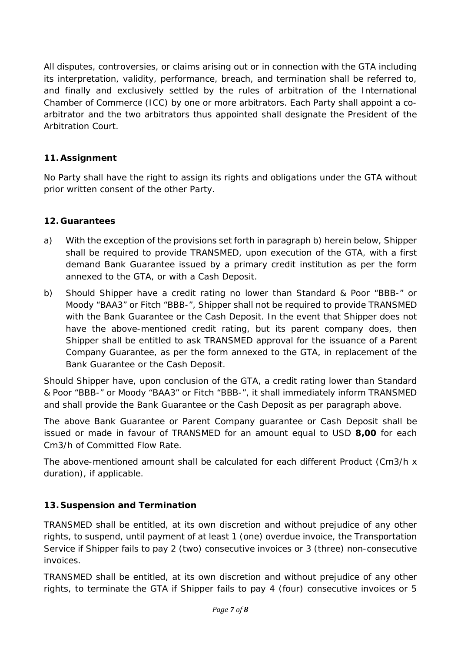All disputes, controversies, or claims arising out or in connection with the GTA including its interpretation, validity, performance, breach, and termination shall be referred to, and finally and exclusively settled by the rules of arbitration of the International Chamber of Commerce (ICC) by one or more arbitrators. Each Party shall appoint a coarbitrator and the two arbitrators thus appointed shall designate the President of the Arbitration Court.

# **11. Assignment**

No Party shall have the right to assign its rights and obligations under the GTA without prior written consent of the other Party.

## **12. Guarantees**

- a) With the exception of the provisions set forth in paragraph b) herein below, Shipper shall be required to provide TRANSMED, upon execution of the GTA, with a first demand Bank Guarantee issued by a primary credit institution as per the form annexed to the GTA, or with a Cash Deposit.
- b) Should Shipper have a credit rating no lower than Standard & Poor "BBB-" or Moody "BAA3" or Fitch "BBB-", Shipper shall not be required to provide TRANSMED with the Bank Guarantee or the Cash Deposit. In the event that Shipper does not have the above-mentioned credit rating, but its parent company does, then Shipper shall be entitled to ask TRANSMED approval for the issuance of a Parent Company Guarantee, as per the form annexed to the GTA, in replacement of the Bank Guarantee or the Cash Deposit.

Should Shipper have, upon conclusion of the GTA, a credit rating lower than Standard & Poor "BBB-" or Moody "BAA3" or Fitch "BBB-", it shall immediately inform TRANSMED and shall provide the Bank Guarantee or the Cash Deposit as per paragraph above.

The above Bank Guarantee or Parent Company guarantee or Cash Deposit shall be issued or made in favour of TRANSMED for an amount equal to USD **8,00** for each Cm3/h of Committed Flow Rate.

The above-mentioned amount shall be calculated for each different Product (Cm3/h x duration), if applicable.

## **13. Suspension and Termination**

TRANSMED shall be entitled, at its own discretion and without prejudice of any other rights, to suspend, until payment of at least 1 (one) overdue invoice, the Transportation Service if Shipper fails to pay 2 (two) consecutive invoices or 3 (three) non-consecutive invoices.

TRANSMED shall be entitled, at its own discretion and without prejudice of any other rights, to terminate the GTA if Shipper fails to pay 4 (four) consecutive invoices or 5